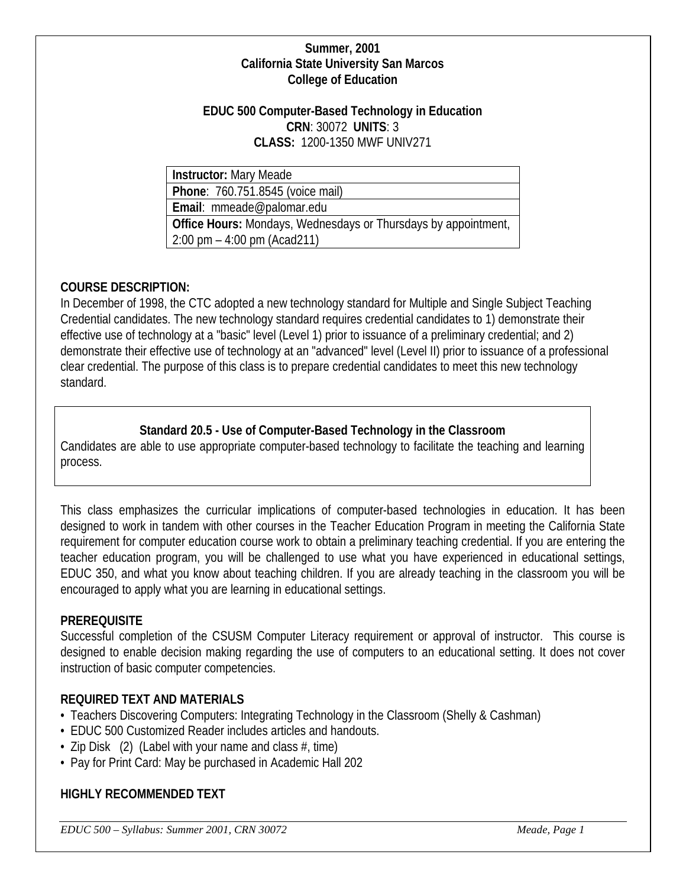### **Summer, 2001 California State University San Marcos College of Education**

#### **EDUC 500 Computer-Based Technology in Education CRN**: 30072 **UNITS**: 3 **CLASS:** 1200-1350 MWF UNIV271

**Instructor:** Mary Meade

**Phone**: 760.751.8545 (voice mail)

**Email**: mmeade@palomar.edu

**Office Hours:** Mondays, Wednesdays or Thursdays by appointment, 2:00 pm – 4:00 pm (Acad211)

# **COURSE DESCRIPTION:**

In December of 1998, the CTC adopted a new technology standard for Multiple and Single Subject Teaching Credential candidates. The new technology standard requires credential candidates to 1) demonstrate their effective use of technology at a "basic" level (Level 1) prior to issuance of a preliminary credential; and 2) demonstrate their effective use of technology at an "advanced" level (Level II) prior to issuance of a professional clear credential. The purpose of this class is to prepare credential candidates to meet this new technology standard.

# **Standard 20.5 - Use of Computer-Based Technology in the Classroom**

Candidates are able to use appropriate computer-based technology to facilitate the teaching and learning process.

This class emphasizes the curricular implications of computer-based technologies in education. It has been designed to work in tandem with other courses in the Teacher Education Program in meeting the California State requirement for computer education course work to obtain a preliminary teaching credential. If you are entering the teacher education program, you will be challenged to use what you have experienced in educational settings, EDUC 350, and what you know about teaching children. If you are already teaching in the classroom you will be encouraged to apply what you are learning in educational settings.

## **PREREQUISITE**

Successful completion of the CSUSM Computer Literacy requirement or approval of instructor. This course is designed to enable decision making regarding the use of computers to an educational setting. It does not cover instruction of basic computer competencies.

## **REQUIRED TEXT AND MATERIALS**

- Teachers Discovering Computers: Integrating Technology in the Classroom (Shelly & Cashman)
- EDUC 500 Customized Reader includes articles and handouts.
- Zip Disk  $(2)$  (Label with your name and class  $#$ , time)
- Pay for Print Card: May be purchased in Academic Hall 202

## **HIGHLY RECOMMENDED TEXT**

*EDUC 500 – Syllabus: Summer 2001, CRN 30072 Meade, Page 1*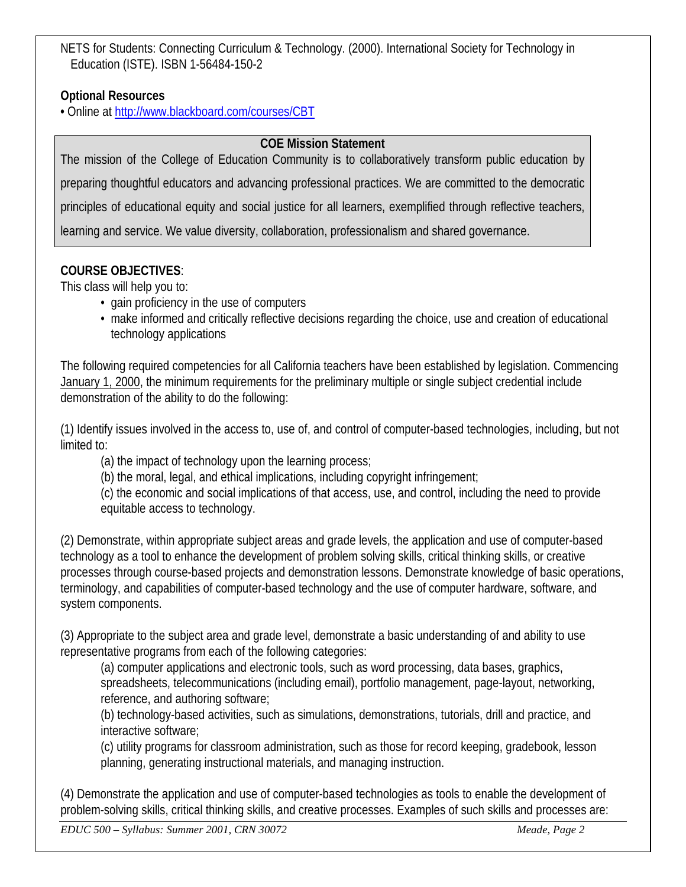NETS for Students: Connecting Curriculum & Technology. (2000). International Society for Technology in Education (ISTE). ISBN 1-56484-150-2

# **Optional Resources**

**•** Online at<http://www.blackboard.com/courses/CBT>

# **COE Mission Statement**

The mission of the College of Education Community is to collaboratively transform public education by preparing thoughtful educators and advancing professional practices. We are committed to the democratic principles of educational equity and social justice for all learners, exemplified through reflective teachers, learning and service. We value diversity, collaboration, professionalism and shared governance.

# **COURSE OBJECTIVES**:

This class will help you to:

- gain proficiency in the use of computers
- make informed and critically reflective decisions regarding the choice, use and creation of educational technology applications

The following required competencies for all California teachers have been established by legislation. Commencing January 1, 2000, the minimum requirements for the preliminary multiple or single subject credential include demonstration of the ability to do the following:

(1) Identify issues involved in the access to, use of, and control of computer-based technologies, including, but not limited to:

(a) the impact of technology upon the learning process;

(b) the moral, legal, and ethical implications, including copyright infringement;

(c) the economic and social implications of that access, use, and control, including the need to provide equitable access to technology.

(2) Demonstrate, within appropriate subject areas and grade levels, the application and use of computer-based technology as a tool to enhance the development of problem solving skills, critical thinking skills, or creative processes through course-based projects and demonstration lessons. Demonstrate knowledge of basic operations, terminology, and capabilities of computer-based technology and the use of computer hardware, software, and system components.

(3) Appropriate to the subject area and grade level, demonstrate a basic understanding of and ability to use representative programs from each of the following categories:

(a) computer applications and electronic tools, such as word processing, data bases, graphics, spreadsheets, telecommunications (including email), portfolio management, page-layout, networking, reference, and authoring software;

(b) technology-based activities, such as simulations, demonstrations, tutorials, drill and practice, and interactive software;

(c) utility programs for classroom administration, such as those for record keeping, gradebook, lesson planning, generating instructional materials, and managing instruction.

(4) Demonstrate the application and use of computer-based technologies as tools to enable the development of problem-solving skills, critical thinking skills, and creative processes. Examples of such skills and processes are: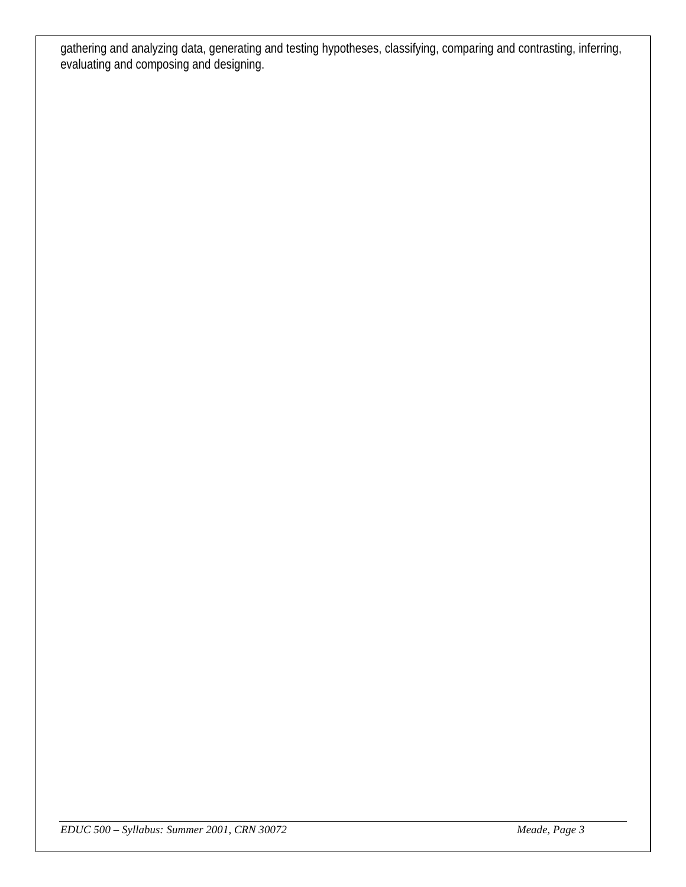gathering and analyzing data, generating and testing hypotheses, classifying, comparing and contrasting, inferring, evaluating and composing and designing.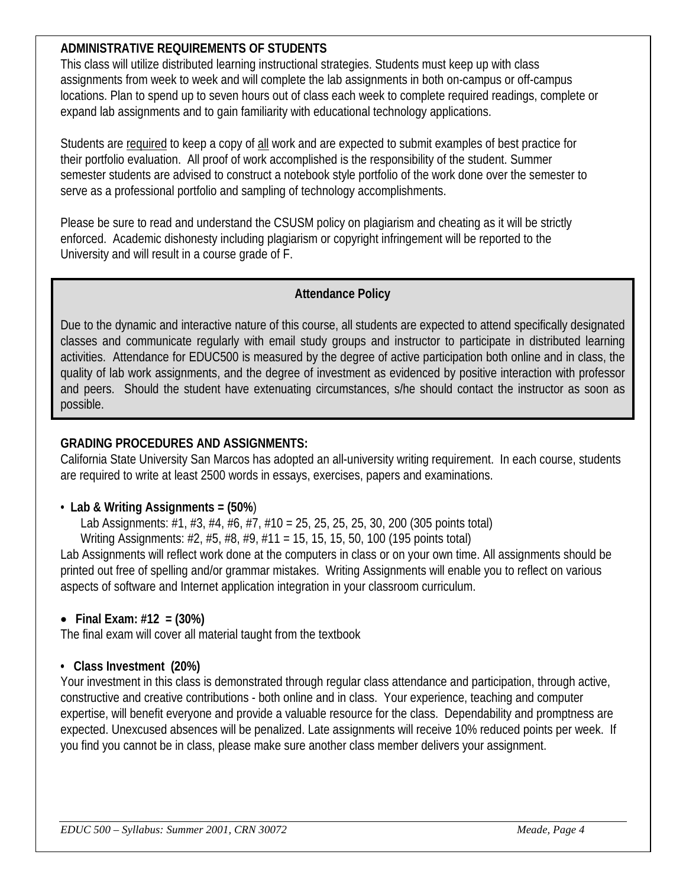## **ADMINISTRATIVE REQUIREMENTS OF STUDENTS**

This class will utilize distributed learning instructional strategies. Students must keep up with class assignments from week to week and will complete the lab assignments in both on-campus or off-campus locations. Plan to spend up to seven hours out of class each week to complete required readings, complete or expand lab assignments and to gain familiarity with educational technology applications.

Students are required to keep a copy of all work and are expected to submit examples of best practice for their portfolio evaluation. All proof of work accomplished is the responsibility of the student. Summer semester students are advised to construct a notebook style portfolio of the work done over the semester to serve as a professional portfolio and sampling of technology accomplishments.

Please be sure to read and understand the CSUSM policy on plagiarism and cheating as it will be strictly enforced. Academic dishonesty including plagiarism or copyright infringement will be reported to the University and will result in a course grade of F.

### **Attendance Policy**

Due to the dynamic and interactive nature of this course, all students are expected to attend specifically designated classes and communicate regularly with email study groups and instructor to participate in distributed learning activities. Attendance for EDUC500 is measured by the degree of active participation both online and in class, the quality of lab work assignments, and the degree of investment as evidenced by positive interaction with professor and peers. Should the student have extenuating circumstances, s/he should contact the instructor as soon as possible.

### **GRADING PROCEDURES AND ASSIGNMENTS:**

California State University San Marcos has adopted an all-university writing requirement. In each course, students are required to write at least 2500 words in essays, exercises, papers and examinations.

## • **Lab & Writing Assignments = (50%**)

Lab Assignments: #1, #3, #4, #6, #7, #10 = 25, 25, 25, 25, 30, 200 (305 points total) Writing Assignments: #2, #5, #8, #9, #11 = 15, 15, 15, 50, 100 (195 points total)

Lab Assignments will reflect work done at the computers in class or on your own time. All assignments should be printed out free of spelling and/or grammar mistakes. Writing Assignments will enable you to reflect on various aspects of software and Internet application integration in your classroom curriculum.

## • **Final Exam: #12 = (30%)**

The final exam will cover all material taught from the textbook

### **• Class Investment (20%)**

Your investment in this class is demonstrated through regular class attendance and participation, through active, constructive and creative contributions - both online and in class. Your experience, teaching and computer expertise, will benefit everyone and provide a valuable resource for the class. Dependability and promptness are expected. Unexcused absences will be penalized. Late assignments will receive 10% reduced points per week. If you find you cannot be in class, please make sure another class member delivers your assignment.